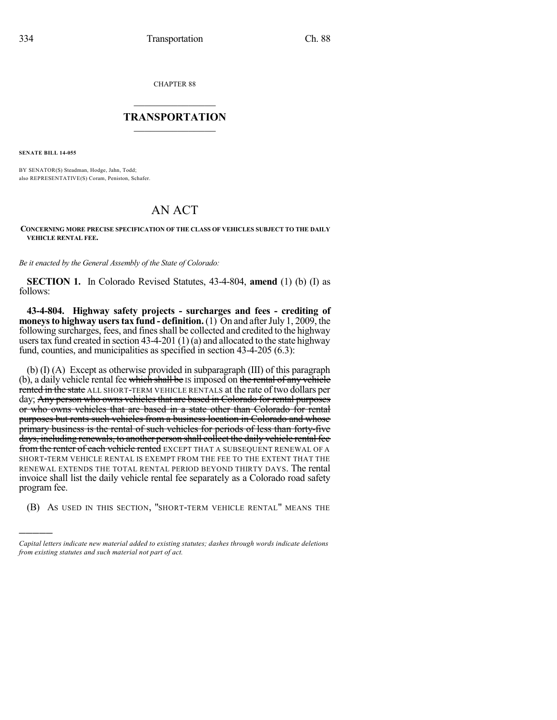CHAPTER 88

## $\mathcal{L}_\text{max}$  . The set of the set of the set of the set of the set of the set of the set of the set of the set of the set of the set of the set of the set of the set of the set of the set of the set of the set of the set **TRANSPORTATION**  $\_$   $\_$   $\_$   $\_$   $\_$   $\_$   $\_$   $\_$   $\_$

**SENATE BILL 14-055**

)))))

BY SENATOR(S) Steadman, Hodge, Jahn, Todd; also REPRESENTATIVE(S) Coram, Peniston, Schafer.

## AN ACT

## **CONCERNING MORE PRECISE SPECIFICATION OF THE CLASS OF VEHICLES SUBJECT TO THE DAILY VEHICLE RENTAL FEE.**

*Be it enacted by the General Assembly of the State of Colorado:*

**SECTION 1.** In Colorado Revised Statutes, 43-4-804, **amend** (1) (b) (I) as follows:

**43-4-804. Highway safety projects - surcharges and fees - crediting of moneysto highway userstax fund - definition.** (1) On and afterJuly 1, 2009, the following surcharges, fees, and finesshall be collected and credited to the highway users tax fund created in section  $43-4-201(1)(a)$  and allocated to the state highway fund, counties, and municipalities as specified in section 43-4-205 (6.3):

(b) (I) (A) Except as otherwise provided in subparagraph (III) of this paragraph (b), a daily vehicle rental fee which shall be IS imposed on the rental of any vehicle rented in the state ALL SHORT-TERM VEHICLE RENTALS at the rate of two dollars per day; Any person who owns vehicles that are based in Colorado for rental purposes or who owns vehicles that are based in a state other than Colorado for rental purposes but rents such vehicles from a business location in Colorado and whose primary business is the rental of such vehicles for periods of less than forty-five days, including renewals, to another person shall collect the daily vehicle rental fee from the renter of each vehicle rented EXCEPT THAT A SUBSEQUENT RENEWAL OF A SHORT-TERM VEHICLE RENTAL IS EXEMPT FROM THE FEE TO THE EXTENT THAT THE RENEWAL EXTENDS THE TOTAL RENTAL PERIOD BEYOND THIRTY DAYS. The rental invoice shall list the daily vehicle rental fee separately as a Colorado road safety program fee.

(B) AS USED IN THIS SECTION, "SHORT-TERM VEHICLE RENTAL" MEANS THE

*Capital letters indicate new material added to existing statutes; dashes through words indicate deletions from existing statutes and such material not part of act.*